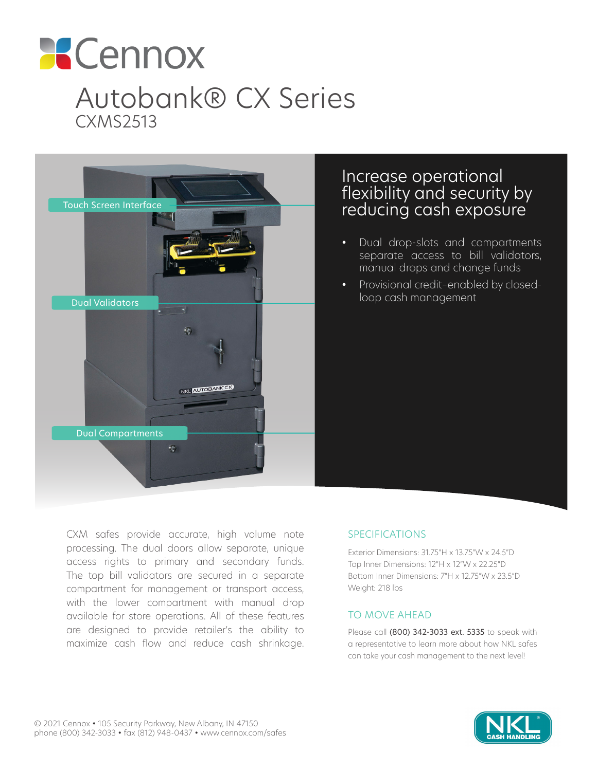



# Increase operational flexibility and security by reducing cash exposure

- Dual drop-slots and compartments separate access to bill validators, manual drops and change funds
- Provisional credit–enabled by closedloop cash management

CXM safes provide accurate, high volume note processing. The dual doors allow separate, unique access rights to primary and secondary funds. The top bill validators are secured in a separate compartment for management or transport access, with the lower compartment with manual drop available for store operations. All of these features are designed to provide retailer's the ability to maximize cash flow and reduce cash shrinkage.

### SPECIFICATIONS

Exterior Dimensions: 31.75"H x 13.75"W x 24.5"D Top Inner Dimensions: 12"H x 12"W x 22.25"D Bottom Inner Dimensions: 7"H x 12.75"W x 23.5"D Weight: 218 lbs

### TO MOVE AHEAD

Please call (800) 342-3033 ext. 5335 to speak with a representative to learn more about how NKL safes can take your cash management to the next level!